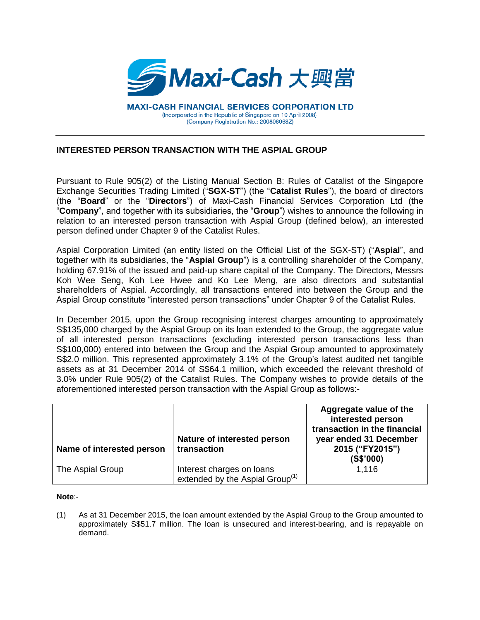

**MAXI-CASH FINANCIAL SERVICES CORPORATION LTD** (Incorporated in the Republic of Singapore on 10 April 2008) (Company Registration No.: 200806968Z)

## **INTERESTED PERSON TRANSACTION WITH THE ASPIAL GROUP**

Pursuant to Rule 905(2) of the Listing Manual Section B: Rules of Catalist of the Singapore Exchange Securities Trading Limited ("**SGX-ST**") (the "**Catalist Rules**"), the board of directors (the "**Board**" or the "**Directors**") of Maxi-Cash Financial Services Corporation Ltd (the "**Company**", and together with its subsidiaries, the "**Group**") wishes to announce the following in relation to an interested person transaction with Aspial Group (defined below), an interested person defined under Chapter 9 of the Catalist Rules.

Aspial Corporation Limited (an entity listed on the Official List of the SGX-ST) ("**Aspial**", and together with its subsidiaries, the "**Aspial Group**") is a controlling shareholder of the Company, holding 67.91% of the issued and paid-up share capital of the Company. The Directors, Messrs Koh Wee Seng, Koh Lee Hwee and Ko Lee Meng, are also directors and substantial shareholders of Aspial. Accordingly, all transactions entered into between the Group and the Aspial Group constitute "interested person transactions" under Chapter 9 of the Catalist Rules.

In December 2015, upon the Group recognising interest charges amounting to approximately S\$135,000 charged by the Aspial Group on its loan extended to the Group, the aggregate value of all interested person transactions (excluding interested person transactions less than S\$100,000) entered into between the Group and the Aspial Group amounted to approximately S\$2.0 million. This represented approximately 3.1% of the Group's latest audited net tangible assets as at 31 December 2014 of S\$64.1 million, which exceeded the relevant threshold of 3.0% under Rule 905(2) of the Catalist Rules. The Company wishes to provide details of the aforementioned interested person transaction with the Aspial Group as follows:-

| Name of interested person | Nature of interested person<br>transaction                               | Aggregate value of the<br>interested person<br>transaction in the financial<br>year ended 31 December<br>2015 ("FY2015")<br>(S\$'000) |
|---------------------------|--------------------------------------------------------------------------|---------------------------------------------------------------------------------------------------------------------------------------|
| The Aspial Group          | Interest charges on loans<br>extended by the Aspial Group <sup>(1)</sup> | 1,116                                                                                                                                 |

## **Note**:-

(1) As at 31 December 2015, the loan amount extended by the Aspial Group to the Group amounted to approximately S\$51.7 million. The loan is unsecured and interest-bearing, and is repayable on demand.